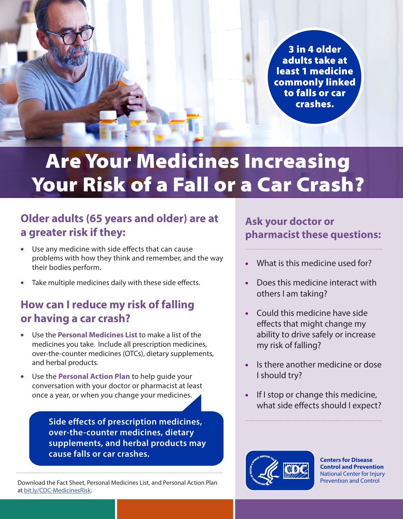3 in 4 older adults take at least 1 medicine commonly linked to falls or car crashes.

# Are Your Medicines Increasing Your Risk of a Fall or a Car Crash?

## **Older adults (65 years and older) are at a greater risk if they:**

- Use any medicine with side effects that can cause problems with how they think and remember, and the way their bodies perform.
- Take multiple medicines daily with these side effects.

## **How can I reduce my risk of falling or having a car crash?**

- Use the **[Personal Medicines List](https://www.cdc.gov/motorvehiclesafety/pdf/older_adult_drivers/Personal-Medicines-List_FINAL_508.pdf)** to make a list of the medicines you take. Include all prescription medicines, over-the-counter medicines (OTCs), dietary supplements, and herbal products.
- Use the **[Personal Action Plan](https://www.cdc.gov/motorvehiclesafety/pdf/older_adult_drivers/Personal-Action-Plan_FINAL_508.pdf)** to help guide your conversation with your doctor or pharmacist at least once a year, or when you change your medicines.

**Side effects of prescription medicines, over-the-counter medicines, dietary supplements, and herbal products may cause falls or car crashes.**

Download the Fact Sheet, Personal Medicines List, and Personal Action Plan at [bit.ly/CDC-MedicinesRisk.](http://bit.ly/CDC-MedicinesRisk)

## **Ask your doctor or pharmacist these questions:**

- What is this medicine used for?
- Does this medicine interact with others I am taking?
- Could this medicine have side effects that might change my ability to drive safely or increase my risk of falling?
- Is there another medicine or dose I should try?
- If I stop or change this medicine, what side effects should I expect?



**Centers for Disease Control and Prevention** National Center for Injury Prevention and Control